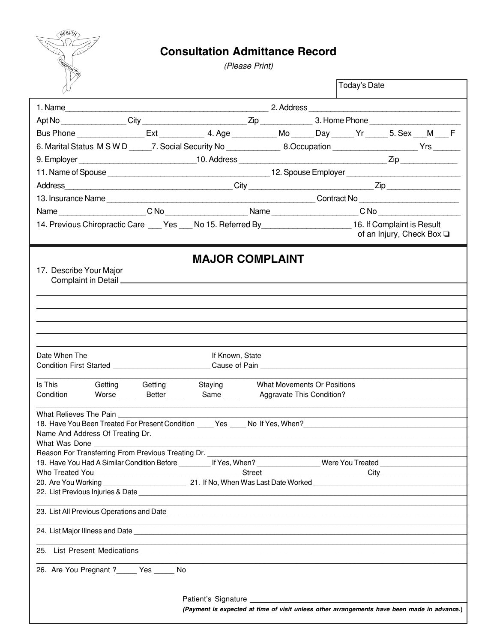

## **Consultation Admittance Record**

(Please Print)

|                                                                                                                                                                      |                 |                                                                                             |                                    |  | Today's Date |                                |  |  |
|----------------------------------------------------------------------------------------------------------------------------------------------------------------------|-----------------|---------------------------------------------------------------------------------------------|------------------------------------|--|--------------|--------------------------------|--|--|
|                                                                                                                                                                      |                 |                                                                                             |                                    |  |              |                                |  |  |
|                                                                                                                                                                      |                 |                                                                                             |                                    |  |              |                                |  |  |
| Bus Phone _________________Ext _______________4. Age ____________Mo ______Day ______Yr ______5. Sex ___M ___ F                                                       |                 |                                                                                             |                                    |  |              |                                |  |  |
| 6. Marital Status MSWD _____7. Social Security No ______________8.Occupation ___________________Yrs _______                                                          |                 |                                                                                             |                                    |  |              |                                |  |  |
|                                                                                                                                                                      |                 |                                                                                             |                                    |  |              |                                |  |  |
|                                                                                                                                                                      |                 |                                                                                             |                                    |  |              |                                |  |  |
|                                                                                                                                                                      |                 |                                                                                             |                                    |  |              |                                |  |  |
|                                                                                                                                                                      |                 |                                                                                             |                                    |  |              |                                |  |  |
|                                                                                                                                                                      |                 |                                                                                             |                                    |  |              |                                |  |  |
| 14. Previous Chiropractic Care ___ Yes ___ No 15. Referred By____________________ 16. If Complaint is Result                                                         |                 |                                                                                             |                                    |  |              | of an Injury, Check Box $\Box$ |  |  |
|                                                                                                                                                                      |                 | <b>MAJOR COMPLAINT</b>                                                                      |                                    |  |              |                                |  |  |
| 17. Describe Your Major                                                                                                                                              |                 |                                                                                             |                                    |  |              |                                |  |  |
|                                                                                                                                                                      |                 |                                                                                             |                                    |  |              |                                |  |  |
|                                                                                                                                                                      |                 |                                                                                             |                                    |  |              |                                |  |  |
|                                                                                                                                                                      |                 |                                                                                             |                                    |  |              |                                |  |  |
|                                                                                                                                                                      |                 |                                                                                             |                                    |  |              |                                |  |  |
| Date When The<br>Condition First Started <b>Condition</b> First Started                                                                                              |                 | If Known, State<br>Cause of Pain <b>Cause of Pain</b>                                       |                                    |  |              |                                |  |  |
|                                                                                                                                                                      |                 |                                                                                             |                                    |  |              |                                |  |  |
| Is This<br>Condition Worse Better Same Aggravate This Condition?                                                                                                     | Getting Getting | Staying                                                                                     | <b>What Movements Or Positions</b> |  |              |                                |  |  |
| What Relieves The Pain                                                                                                                                               |                 |                                                                                             |                                    |  |              |                                |  |  |
| What Was Done                                                                                                                                                        |                 |                                                                                             |                                    |  |              |                                |  |  |
| Reason For Transferring From Previous Treating Dr.<br>19. Have You Had A Similar Condition Before _________ If Yes, When? ________________Were You Treated _________ |                 |                                                                                             |                                    |  |              |                                |  |  |
|                                                                                                                                                                      |                 |                                                                                             |                                    |  |              |                                |  |  |
| 22. List Previous Injuries & Date <b>contract and the Contract of Australia</b> Contract and Contract and Contract and                                               |                 |                                                                                             |                                    |  |              |                                |  |  |
|                                                                                                                                                                      |                 | ,我们也不会有一个人的人,我们也不会有一个人的人,我们也不会有一个人的人。""我们,我们也不会有一个人的人,我们也不会有一个人的人。""我们,我们也不会有一个人            |                                    |  |              |                                |  |  |
|                                                                                                                                                                      |                 |                                                                                             |                                    |  |              |                                |  |  |
|                                                                                                                                                                      |                 |                                                                                             |                                    |  |              |                                |  |  |
|                                                                                                                                                                      |                 |                                                                                             |                                    |  |              |                                |  |  |
| 26. Are You Pregnant ? _____ Yes ______ No                                                                                                                           |                 |                                                                                             |                                    |  |              |                                |  |  |
|                                                                                                                                                                      |                 |                                                                                             |                                    |  |              |                                |  |  |
|                                                                                                                                                                      |                 | (Payment is expected at time of visit unless other arrangements have been made in advance.) |                                    |  |              |                                |  |  |
|                                                                                                                                                                      |                 |                                                                                             |                                    |  |              |                                |  |  |